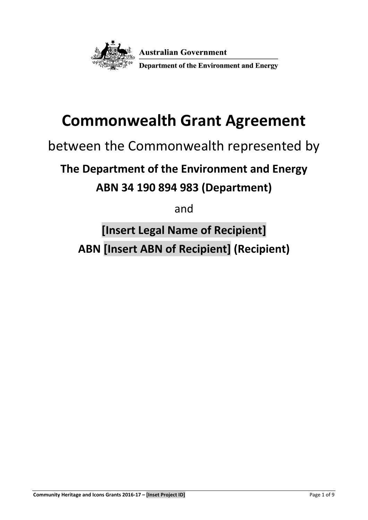

# **Commonwealth Grant Agreement**

# between the Commonwealth represented by

# **The Department of the Environment and Energy**

# **ABN 34 190 894 983 (Department)**

and

**[Insert Legal Name of Recipient] ABN [Insert ABN of Recipient] (Recipient)**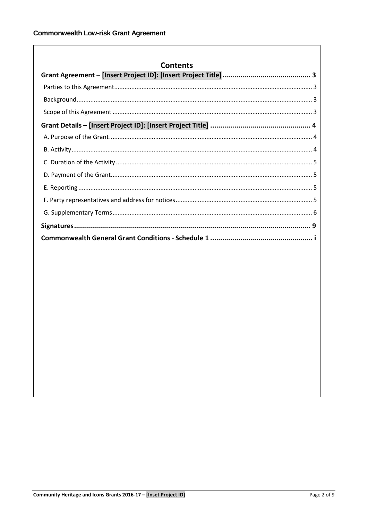| <b>Contents</b> |
|-----------------|
|                 |
|                 |
|                 |
|                 |
|                 |
|                 |
|                 |
|                 |
|                 |
|                 |
|                 |
|                 |
|                 |
|                 |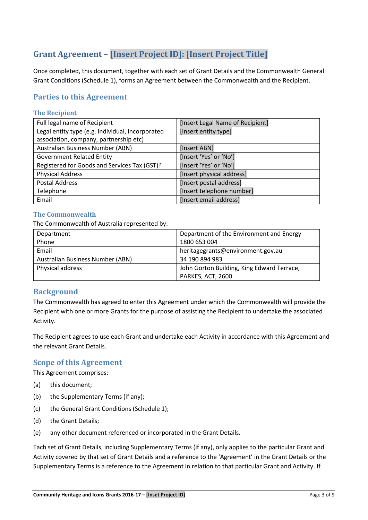# <span id="page-2-0"></span>**Grant Agreement – [Insert Project ID]: [Insert Project Title]**

Once completed, this document, together with each set of Grant Details and the Commonwealth General Grant Conditions (Schedule 1), forms an Agreement between the Commonwealth and the Recipient.

### <span id="page-2-1"></span>**Parties to this Agreement**

#### **The Recipient**

| Full legal name of Recipient                     | [Insert Legal Name of Recipient] |
|--------------------------------------------------|----------------------------------|
| Legal entity type (e.g. individual, incorporated | [Insert entity type]             |
| association, company, partnership etc)           |                                  |
| Australian Business Number (ABN)                 | [Insert ABN]                     |
| <b>Government Related Entity</b>                 | [Insert 'Yes' or 'No']           |
| Registered for Goods and Services Tax (GST)?     | [Insert 'Yes' or 'No']           |
| <b>Physical Address</b>                          | [Insert physical address]        |
| <b>Postal Address</b>                            | [Insert postal address]          |
| Telephone                                        | [Insert telephone number]        |
| Email                                            | [Insert email address]           |

#### **The Commonwealth**

The Commonwealth of Australia represented by:

| Department                       | Department of the Environment and Energy   |
|----------------------------------|--------------------------------------------|
| Phone                            | 1800 653 004                               |
| Email                            | heritagegrants@environment.gov.au          |
| Australian Business Number (ABN) | 34 190 894 983                             |
| Physical address                 | John Gorton Building, King Edward Terrace, |
|                                  | PARKES, ACT, 2600                          |

# <span id="page-2-2"></span>**Background**

The Commonwealth has agreed to enter this Agreement under which the Commonwealth will provide the Recipient with one or more Grants for the purpose of assisting the Recipient to undertake the associated Activity.

The Recipient agrees to use each Grant and undertake each Activity in accordance with this Agreement and the relevant Grant Details.

#### <span id="page-2-3"></span>**Scope of this Agreement**

This Agreement comprises:

- (a) this document;
- (b) the Supplementary Terms (if any);
- (c) the General Grant Conditions (Schedule 1);
- (d) the Grant Details;
- (e) any other document referenced or incorporated in the Grant Details.

Each set of Grant Details, including Supplementary Terms (if any), only applies to the particular Grant and Activity covered by that set of Grant Details and a reference to the 'Agreement' in the Grant Details or the Supplementary Terms is a reference to the Agreement in relation to that particular Grant and Activity. If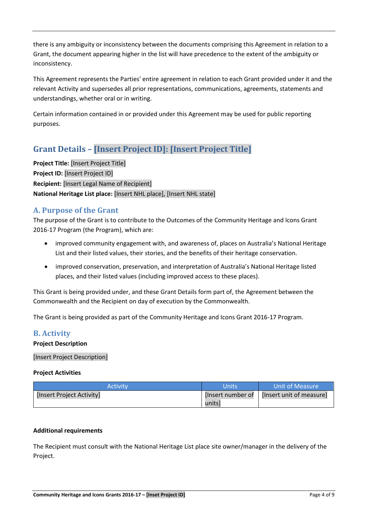there is any ambiguity or inconsistency between the documents comprising this Agreement in relation to a Grant, the document appearing higher in the list will have precedence to the extent of the ambiguity or inconsistency.

This Agreement represents the Parties' entire agreement in relation to each Grant provided under it and the relevant Activity and supersedes all prior representations, communications, agreements, statements and understandings, whether oral or in writing.

Certain information contained in or provided under this Agreement may be used for public reporting purposes.

# <span id="page-3-0"></span>**Grant Details – [Insert Project ID]: [Insert Project Title]**

**Project Title:** [Insert Project Title] **Project ID:** [Insert Project ID] **Recipient:** [Insert Legal Name of Recipient] **National Heritage List place:** [Insert NHL place], [Insert NHL state]

# <span id="page-3-1"></span>**A. Purpose of the Grant**

The purpose of the Grant is to contribute to the Outcomes of the Community Heritage and Icons Grant 2016-17 Program (the Program), which are:

- improved community engagement with, and awareness of, places on Australia's National Heritage List and their listed values, their stories, and the benefits of their heritage conservation.
- improved conservation, preservation, and interpretation of Australia's National Heritage listed places, and their listed values (including improved access to these places).

This Grant is being provided under, and these Grant Details form part of, the Agreement between the Commonwealth and the Recipient on day of execution by the Commonwealth.

The Grant is being provided as part of the Community Heritage and Icons Grant 2016-17 Program.

# <span id="page-3-2"></span>**B. Activity**

#### **Project Description**

[Insert Project Description]

#### **Project Activities**

| Activitv                  | Units             | Unit of Measure          |
|---------------------------|-------------------|--------------------------|
| [Insert Project Activity] | [Insert number of | [Insert unit of measure] |
|                           | units]            |                          |

#### **Additional requirements**

The Recipient must consult with the National Heritage List place site owner/manager in the delivery of the Project.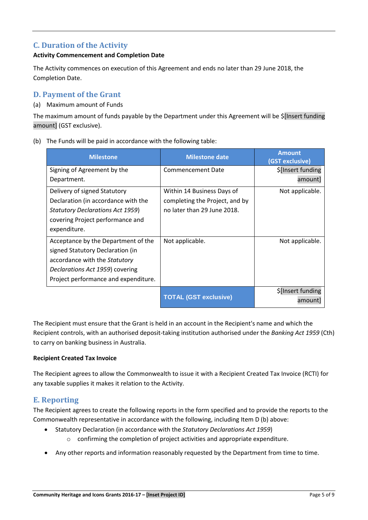# <span id="page-4-0"></span>**C. Duration of the Activity**

#### **Activity Commencement and Completion Date**

The Activity commences on execution of this Agreement and ends no later than 29 June 2018, the Completion Date.

# <span id="page-4-1"></span>**D. Payment of the Grant**

#### (a) Maximum amount of Funds

The maximum amount of funds payable by the Department under this Agreement will be \$[Insert funding amount] (GST exclusive).

(b) The Funds will be paid in accordance with the following table:

| <b>Milestone</b>                        | <b>Milestone date</b>          | <b>Amount</b><br>(GST exclusive) |
|-----------------------------------------|--------------------------------|----------------------------------|
| Signing of Agreement by the             | Commencement Date              | \$[Insert funding                |
| Department.                             |                                | amount]                          |
| Delivery of signed Statutory            | Within 14 Business Days of     | Not applicable.                  |
| Declaration (in accordance with the     | completing the Project, and by |                                  |
| <b>Statutory Declarations Act 1959)</b> | no later than 29 June 2018.    |                                  |
| covering Project performance and        |                                |                                  |
| expenditure.                            |                                |                                  |
| Acceptance by the Department of the     | Not applicable.                | Not applicable.                  |
| signed Statutory Declaration (in        |                                |                                  |
| accordance with the Statutory           |                                |                                  |
| Declarations Act 1959) covering         |                                |                                  |
| Project performance and expenditure.    |                                |                                  |
|                                         |                                | \$[Insert funding                |
|                                         | <b>TOTAL (GST exclusive)</b>   | amountl                          |

The Recipient must ensure that the Grant is held in an account in the Recipient's name and which the Recipient controls, with an authorised deposit-taking institution authorised under the *Banking Act 1959* (Cth) to carry on banking business in Australia.

#### **Recipient Created Tax Invoice**

The Recipient agrees to allow the Commonwealth to issue it with a Recipient Created Tax Invoice (RCTI) for any taxable supplies it makes it relation to the Activity.

# <span id="page-4-2"></span>**E. Reporting**

<span id="page-4-3"></span>The Recipient agrees to create the following reports in the form specified and to provide the reports to the Commonwealth representative in accordance with the following, including Item D (b) above:

- Statutory Declaration (in accordance with the *Statutory Declarations Act 1959*)
	- o confirming the completion of project activities and appropriate expenditure.
- Any other reports and information reasonably requested by the Department from time to time.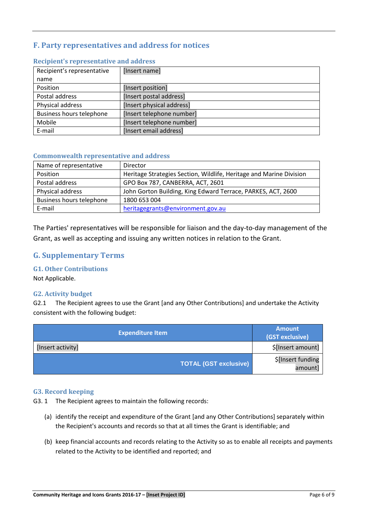# **F. Party representatives and address for notices**

| Recipient's representative      | [Insert name]             |
|---------------------------------|---------------------------|
| name                            |                           |
| Position                        | [Insert position]         |
| Postal address                  | [Insert postal address]   |
| Physical address                | [Insert physical address] |
| <b>Business hours telephone</b> | [Insert telephone number] |
| Mobile                          | [Insert telephone number] |
| E-mail                          | [Insert email address]    |

#### **Recipient's representative and address**

#### **Commonwealth representative and address**

| Name of representative          | Director                                                            |
|---------------------------------|---------------------------------------------------------------------|
| Position                        | Heritage Strategies Section, Wildlife, Heritage and Marine Division |
| Postal address                  | GPO Box 787, CANBERRA, ACT, 2601                                    |
| Physical address                | John Gorton Building, King Edward Terrace, PARKES, ACT, 2600        |
| <b>Business hours telephone</b> | 1800 653 004                                                        |
| E-mail                          | heritagegrants@environment.gov.au                                   |

The Parties' representatives will be responsible for liaison and the day-to-day management of the Grant, as well as accepting and issuing any written notices in relation to the Grant.

# <span id="page-5-0"></span>**G. Supplementary Terms**

#### **G1. Other Contributions**

Not Applicable.

#### **G2. Activity budget**

G2.1 The Recipient agrees to use the Grant [and any Other Contributions] and undertake the Activity consistent with the following budget:

| <b>Expenditure Item</b>      | <b>Amount</b><br>(GST exclusive) |
|------------------------------|----------------------------------|
| [Insert activity]            | \$[Insert amount]                |
| <b>TOTAL (GST exclusive)</b> | \$[Insert funding<br>amountl     |

#### **G3. Record keeping**

G3. 1 The Recipient agrees to maintain the following records:

- (a) identify the receipt and expenditure of the Grant [and any Other Contributions] separately within the Recipient's accounts and records so that at all times the Grant is identifiable; and
- (b) keep financial accounts and records relating to the Activity so as to enable all receipts and payments related to the Activity to be identified and reported; and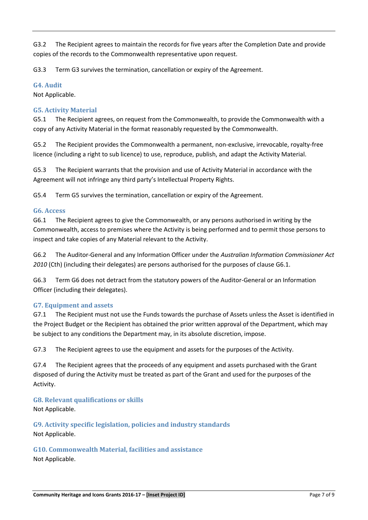G3.2 The Recipient agrees to maintain the records for five years after the Completion Date and provide copies of the records to the Commonwealth representative upon request.

G3.3 Term G3 survives the termination, cancellation or expiry of the Agreement.

#### **G4. Audit**

Not Applicable.

#### **G5. Activity Material**

G5.1 The Recipient agrees, on request from the Commonwealth, to provide the Commonwealth with a copy of any Activity Material in the format reasonably requested by the Commonwealth.

G5.2 The Recipient provides the Commonwealth a permanent, non-exclusive, irrevocable, royalty-free licence (including a right to sub licence) to use, reproduce, publish, and adapt the Activity Material.

G5.3 The Recipient warrants that the provision and use of Activity Material in accordance with the Agreement will not infringe any third party's Intellectual Property Rights.

G5.4 Term G5 survives the termination, cancellation or expiry of the Agreement.

#### **G6. Access**

G6.1 The Recipient agrees to give the Commonwealth, or any persons authorised in writing by the Commonwealth, access to premises where the Activity is being performed and to permit those persons to inspect and take copies of any Material relevant to the Activity.

G6.2 The Auditor-General and any Information Officer under the *Australian Information Commissioner Act 2010* (Cth) (including their delegates) are persons authorised for the purposes of clause G6.1.

G6.3 Term G6 does not detract from the statutory powers of the Auditor-General or an Information Officer (including their delegates).

#### **G7. Equipment and assets**

G7.1 The Recipient must not use the Funds towards the purchase of Assets unless the Asset is identified in the Project Budget or the Recipient has obtained the prior written approval of the Department, which may be subject to any conditions the Department may, in its absolute discretion, impose.

G7.3 The Recipient agrees to use the equipment and assets for the purposes of the Activity.

G7.4 The Recipient agrees that the proceeds of any equipment and assets purchased with the Grant disposed of during the Activity must be treated as part of the Grant and used for the purposes of the Activity.

**G8. Relevant qualifications or skills** Not Applicable.

**G9. Activity specific legislation, policies and industry standards** Not Applicable.

**G10. Commonwealth Material, facilities and assistance** Not Applicable.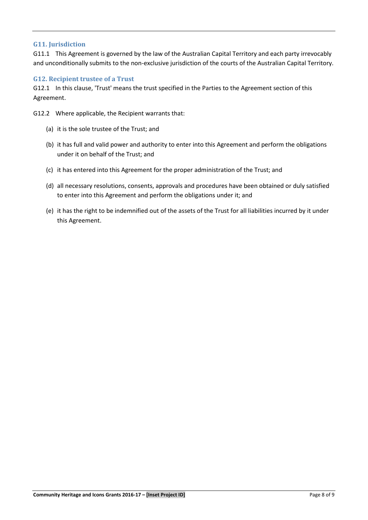#### **G11. Jurisdiction**

G11.1 This Agreement is governed by the law of the Australian Capital Territory and each party irrevocably and unconditionally submits to the non-exclusive jurisdiction of the courts of the Australian Capital Territory.

#### **G12. Recipient trustee of a Trust**

G12.1 In this clause, 'Trust' means the trust specified in the Parties to the Agreement section of this Agreement.

G12.2 Where applicable, the Recipient warrants that:

- (a) it is the sole trustee of the Trust; and
- (b) it has full and valid power and authority to enter into this Agreement and perform the obligations under it on behalf of the Trust; and
- (c) it has entered into this Agreement for the proper administration of the Trust; and
- (d) all necessary resolutions, consents, approvals and procedures have been obtained or duly satisfied to enter into this Agreement and perform the obligations under it; and
- (e) it has the right to be indemnified out of the assets of the Trust for all liabilities incurred by it under this Agreement.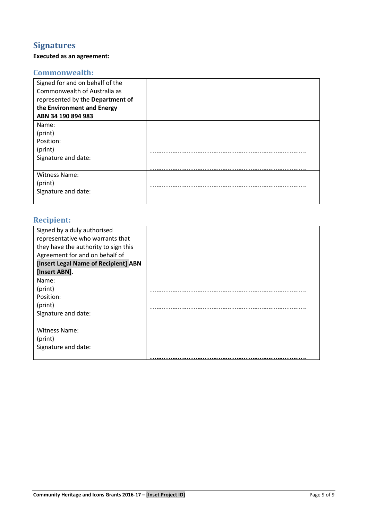# <span id="page-8-0"></span>**Signatures**

# **Executed as an agreement:**

# **Commonwealth:**

| Signed for and on behalf of the  |  |
|----------------------------------|--|
| Commonwealth of Australia as     |  |
| represented by the Department of |  |
| the Environment and Energy       |  |
| ABN 34 190 894 983               |  |
| Name:                            |  |
| (print)                          |  |
| Position:                        |  |
| (print)                          |  |
| Signature and date:              |  |
|                                  |  |
| <b>Witness Name:</b>             |  |
| (print)                          |  |
| Signature and date:              |  |
|                                  |  |

# **Recipient:**

| Signed by a duly authorised<br>representative who warrants that |  |
|-----------------------------------------------------------------|--|
| they have the authority to sign this                            |  |
| Agreement for and on behalf of                                  |  |
| [Insert Legal Name of Recipient] ABN                            |  |
| [Insert ABN].                                                   |  |
| Name:                                                           |  |
| (print)                                                         |  |
| Position:                                                       |  |
| (print)                                                         |  |
| Signature and date:                                             |  |
|                                                                 |  |
| Witness Name:                                                   |  |
| (print)                                                         |  |
| Signature and date:                                             |  |
|                                                                 |  |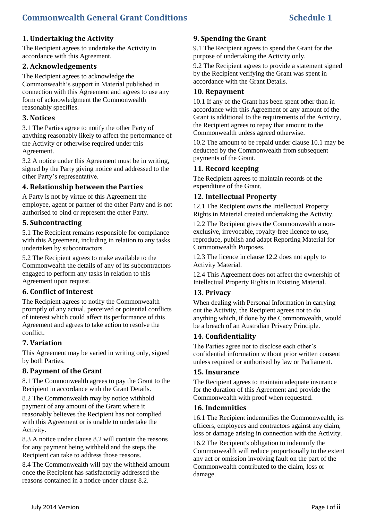#### **1. Undertaking the Activity**

The Recipient agrees to undertake the Activity in accordance with this Agreement.

#### **2. Acknowledgements**

The Recipient agrees to acknowledge the Commonwealth's support in Material published in connection with this Agreement and agrees to use any form of acknowledgment the Commonwealth reasonably specifies.

#### **3. Notices**

3.1 The Parties agree to notify the other Party of anything reasonably likely to affect the performance of the Activity or otherwise required under this Agreement.

3.2 A notice under this Agreement must be in writing, signed by the Party giving notice and addressed to the other Party's representative.

#### **4. Relationship between the Parties**

A Party is not by virtue of this Agreement the employee, agent or partner of the other Party and is not authorised to bind or represent the other Party.

#### **5. Subcontracting**

5.1 The Recipient remains responsible for compliance with this Agreement, including in relation to any tasks undertaken by subcontractors.

5.2 The Recipient agrees to make available to the Commonwealth the details of any of its subcontractors engaged to perform any tasks in relation to this Agreement upon request.

#### **6. Conflict of interest**

The Recipient agrees to notify the Commonwealth promptly of any actual, perceived or potential conflicts of interest which could affect its performance of this Agreement and agrees to take action to resolve the conflict.

#### **7. Variation**

This Agreement may be varied in writing only, signed by both Parties.

#### **8. Payment of the Grant**

8.1 The Commonwealth agrees to pay the Grant to the Recipient in accordance with the Grant Details.

8.2 The Commonwealth may by notice withhold payment of any amount of the Grant where it reasonably believes the Recipient has not complied with this Agreement or is unable to undertake the Activity.

8.3 A notice under clause 8.2 will contain the reasons for any payment being withheld and the steps the Recipient can take to address those reasons.

8.4 The Commonwealth will pay the withheld amount once the Recipient has satisfactorily addressed the reasons contained in a notice under clause 8.2.

#### **9. Spending the Grant**

9.1 The Recipient agrees to spend the Grant for the purpose of undertaking the Activity only.

9.2 The Recipient agrees to provide a statement signed by the Recipient verifying the Grant was spent in accordance with the Grant Details.

#### **10. Repayment**

10.1 If any of the Grant has been spent other than in accordance with this Agreement or any amount of the Grant is additional to the requirements of the Activity, the Recipient agrees to repay that amount to the Commonwealth unless agreed otherwise.

10.2 The amount to be repaid under clause 10.1 may be deducted by the Commonwealth from subsequent payments of the Grant.

#### **11. Record keeping**

The Recipient agrees to maintain records of the expenditure of the Grant.

#### **12. Intellectual Property**

12.1 The Recipient owns the Intellectual Property Rights in Material created undertaking the Activity.

12.2 The Recipient gives the Commonwealth a nonexclusive, irrevocable, royalty-free licence to use, reproduce, publish and adapt Reporting Material for Commonwealth Purposes.

12.3 The licence in clause 12.2 does not apply to Activity Material.

12.4 This Agreement does not affect the ownership of Intellectual Property Rights in Existing Material.

#### **13. Privacy**

When dealing with Personal Information in carrying out the Activity, the Recipient agrees not to do anything which, if done by the Commonwealth, would be a breach of an Australian Privacy Principle.

#### **14. Confidentiality**

The Parties agree not to disclose each other's confidential information without prior written consent unless required or authorised by law or Parliament.

#### **15. Insurance**

The Recipient agrees to maintain adequate insurance for the duration of this Agreement and provide the Commonwealth with proof when requested.

#### **16. Indemnities**

16.1 The Recipient indemnifies the Commonwealth, its officers, employees and contractors against any claim, loss or damage arising in connection with the Activity.

16.2 The Recipient's obligation to indemnify the Commonwealth will reduce proportionally to the extent any act or omission involving fault on the part of the Commonwealth contributed to the claim, loss or damage.